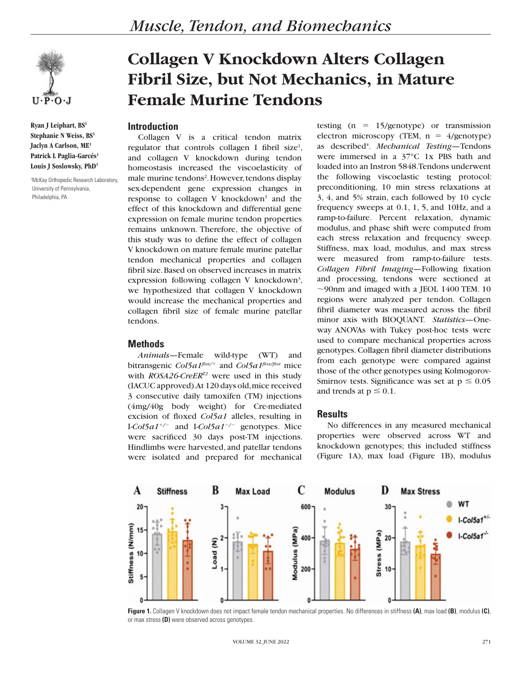

**Ryan J Leiphart, BS1 Stephanie N Weiss, BS1 Jaclyn A Carlson, ME1** Patrick L Paglia-Garcés<sup>1</sup> **Louis J Soslowsky, PhD1**

1 McKay Orthopedic Research Laboratory, University of Pennsylvania, Philadelphia, PA

# **Collagen V Knockdown Alters Collagen Fibril Size, but Not Mechanics, in Mature Female Murine Tendons**

## **Introduction**

Collagen V is a critical tendon matrix regulator that controls collagen I fibril size<sup>1</sup>, and collagen V knockdown during tendon homeostasis increased the viscoelasticity of male murine tendons<sup>2</sup>. However, tendons display sex-dependent gene expression changes in response to collagen V knockdown<sup>3</sup> and the effect of this knockdown and differential gene expression on female murine tendon properties remains unknown. Therefore, the objective of this study was to define the effect of collagen V knockdown on mature female murine patellar tendon mechanical properties and collagen fibril size. Based on observed increases in matrix expression following collagen V knockdown<sup>3</sup>, we hypothesized that collagen V knockdown would increase the mechanical properties and collagen fibril size of female murine patellar tendons.

### **Methods**

*Animals—*Female wild-type (WT) and bitransgenic *Col5a1flox/*<sup>1</sup> and *Col5a1flox/flox* mice with *ROSA26-CreERT2* were used in this study (IACUC approved). At 120 days old, mice received 3 consecutive daily tamoxifen (TM) injections (4mg/40g body weight) for Cre-mediated excision of floxed *Col5a1* alleles, resulting in I-*Col5a1<sup>+/-</sup>* and I-*Col5a1<sup>-/-</sup>* genotypes. Mice were sacrificed 30 days post-TM injections. Hindlimbs were harvested, and patellar tendons were isolated and prepared for mechanical

testing  $(n = 15/$ genotype) or transmission electron microscopy (TEM,  $n = 4$ /genotype) as described<sup>4</sup>. *Mechanical Testing*—Tendons were immersed in a 37°C 1x PBS bath and loaded into an Instron 5848. Tendons underwent the following viscoelastic testing protocol: preconditioning, 10 min stress relaxations at 3, 4, and 5% strain, each followed by 10 cycle frequency sweeps at 0.1, 1, 5, and 10Hz, and a ramp-to-failure. Percent relaxation, dynamic modulus, and phase shift were computed from each stress relaxation and frequency sweep. Stiffness, max load, modulus, and max stress were measured from ramp-to-failure tests. *Collagen Fibril Imaging—*Following fixation and processing, tendons were sectioned at  $\sim$ 90nm and imaged with a JEOL 1400 TEM. 10 regions were analyzed per tendon. Collagen fibril diameter was measured across the fibril minor axis with BIOQUANT. *Statistics*—Oneway ANOVAs with Tukey post-hoc tests were used to compare mechanical properties across genotypes. Collagen fibril diameter distributions from each genotype were compared against those of the other genotypes using Kolmogorov-Smirnov tests. Significance was set at  $p \le 0.05$ and trends at  $p \le 0.1$ .

### **Results**

No differences in any measured mechanical properties were observed across WT and knockdown genotypes; this included stiffness (Figure 1A), max load (Figure 1B), modulus



**Figure 1.** Collagen V knockdown does not impact female tendon mechanical properties. No differences in stiffness **(A)**, max load **(B)**, modulus **(C)**, or max stress **(D)** were observed across genotypes.